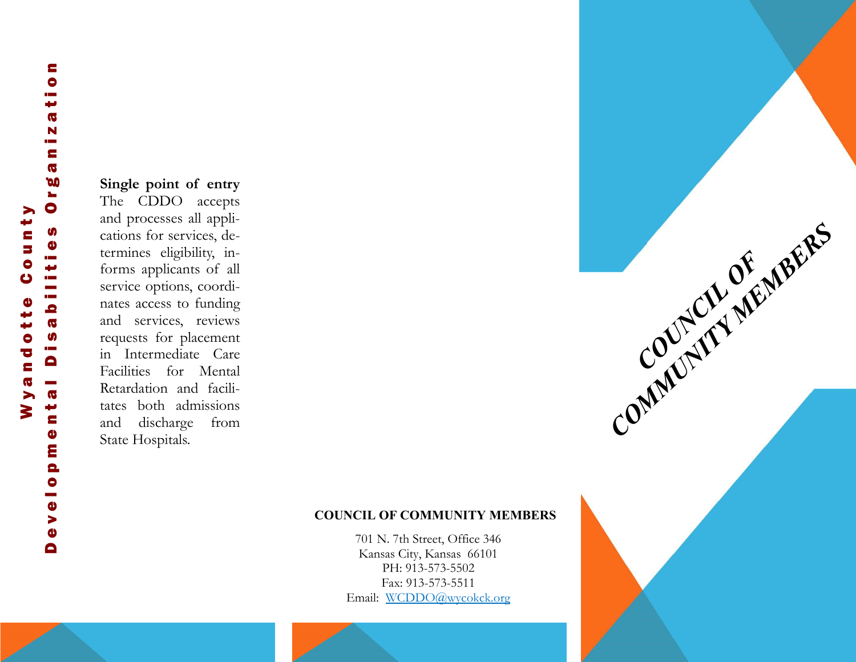#### **Single point of entry**

The CDDO accepts and processes all applications for services, determines eligibility, informs applicants of all service options, coordinates access to funding and services, reviews requests for placement in Intermediate Care Facilities for Mental Retardation and facilitates both admissions and discharge from State Hospitals.

#### **COUNCIL OF COMMUNITY MEMBERS**

**COUNCIL OF MEMBERS** 

701 N. 7th Street, Office 346 Kansas City, Kansas 66101 PH: 913 -573 -5502 Fax: 913 -573 -5511 Email: [WCDDO@wycokck.org](mailto:jlewis@wycokck.org)